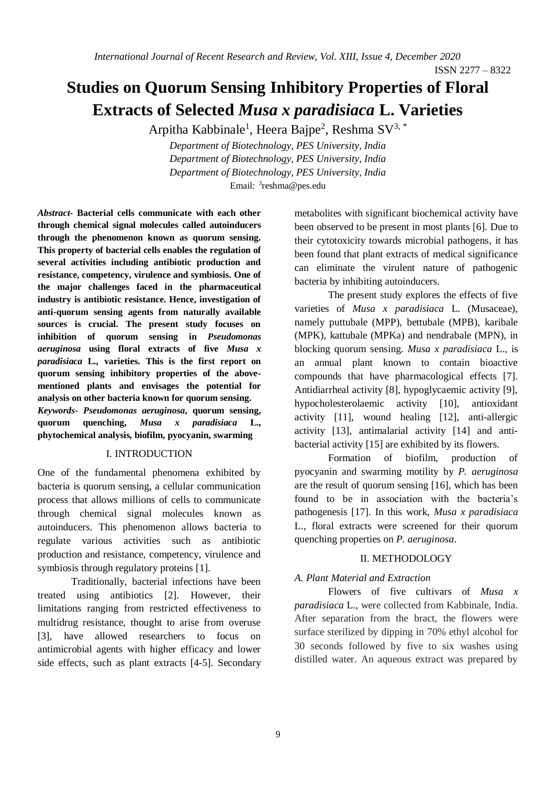# **Studies on Quorum Sensing Inhibitory Properties of Floral Extracts of Selected** *Musa x paradisiaca* **L. Varieties**

Arpitha Kabbinale<sup>1</sup>, Heera Bajpe<sup>2</sup>, Reshma SV<sup>3,\*</sup>

*Department of Biotechnology, PES University, India Department of Biotechnology, PES University, India Department of Biotechnology, PES University, India* Email: 3reshma@pes.edu

*Abstract***- Bacterial cells communicate with each other through chemical signal molecules called autoinducers through the phenomenon known as quorum sensing. This property of bacterial cells enables the regulation of several activities including antibiotic production and resistance, competency, virulence and symbiosis. One of the major challenges faced in the pharmaceutical industry is antibiotic resistance. Hence, investigation of anti-quorum sensing agents from naturally available sources is crucial. The present study focuses on inhibition of quorum sensing in** *Pseudomonas aeruginosa* **using floral extracts of five** *Musa x paradisiaca* **L***.,* **varieties. This is the first report on quorum sensing inhibitory properties of the abovementioned plants and envisages the potential for analysis on other bacteria known for quorum sensing.** *Keywords- Pseudomonas aeruginosa***, quorum sensing, quorum quenching,** *Musa x paradisiaca* **L., phytochemical analysis, biofilm, pyocyanin, swarming**

### I. INTRODUCTION

One of the fundamental phenomena exhibited by bacteria is quorum sensing, a cellular communication process that allows millions of cells to communicate through chemical signal molecules known as autoinducers. This phenomenon allows bacteria to regulate various activities such as antibiotic production and resistance, competency, virulence and symbiosis through regulatory proteins [1].

Traditionally, bacterial infections have been treated using antibiotics [2]. However, their limitations ranging from restricted effectiveness to multidrug resistance, thought to arise from overuse [3], have allowed researchers to focus on antimicrobial agents with higher efficacy and lower side effects, such as plant extracts [4-5]. Secondary metabolites with significant biochemical activity have been observed to be present in most plants [6]. Due to their cytotoxicity towards microbial pathogens, it has been found that plant extracts of medical significance can eliminate the virulent nature of pathogenic bacteria by inhibiting autoinducers.

The present study explores the effects of five varieties of *Musa x paradisiaca* L. (Musaceae), namely puttubale (MPP), bettubale (MPB), karibale (MPK), kattubale (MPKa) and nendrabale (MPN), in blocking quorum sensing. *Musa x paradisiaca* L., is an annual plant known to contain bioactive compounds that have pharmacological effects [7]. Antidiarrheal activity [8], hypoglycaemic activity [9], hypocholesterolaemic activity [10], antioxidant activity [11], wound healing [12], anti-allergic activity [13], antimalarial activity [14] and antibacterial activity [15] are exhibited by its flowers.

Formation of biofilm, production of pyocyanin and swarming motility by *P. aeruginosa*  are the result of quorum sensing [16], which has been found to be in association with the bacteria's pathogenesis [17]. In this work, *Musa x paradisiaca* L., floral extracts were screened for their quorum quenching properties on *P. aeruginosa*.

#### II. METHODOLOGY

### *A. Plant Material and Extraction*

Flowers of five cultivars of *Musa x paradisiaca* L., were collected from Kabbinale, India. After separation from the bract, the flowers were surface sterilized by dipping in 70% ethyl alcohol for 30 seconds followed by five to six washes using distilled water. An aqueous extract was prepared by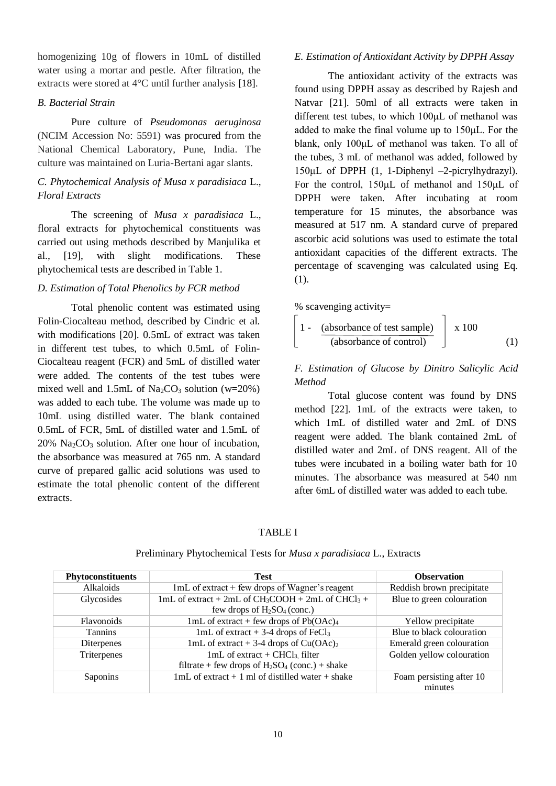homogenizing 10g of flowers in 10mL of distilled water using a mortar and pestle. After filtration, the extracts were stored at 4°C until further analysis [18].

### *B. Bacterial Strain*

Pure culture of *Pseudomonas aeruginosa* (NCIM Accession No: 5591) was procured from the National Chemical Laboratory, Pune, India. The culture was maintained on Luria-Bertani agar slants.

# *C. Phytochemical Analysis of Musa x paradisiaca* L., *Floral Extracts*

The screening of *Musa x paradisiaca* L., floral extracts for phytochemical constituents was carried out using methods described by Manjulika et al., [19], with slight modifications. These phytochemical tests are described in Table 1.

## *D. Estimation of Total Phenolics by FCR method*

Total phenolic content was estimated using Folin-Ciocalteau method, described by Cindric et al. with modifications [20]. 0.5mL of extract was taken in different test tubes, to which 0.5mL of Folin-Ciocalteau reagent (FCR) and 5mL of distilled water were added. The contents of the test tubes were mixed well and 1.5mL of  $Na<sub>2</sub>CO<sub>3</sub>$  solution (w=20%) was added to each tube. The volume was made up to 10mL using distilled water. The blank contained 0.5mL of FCR, 5mL of distilled water and 1.5mL of  $20\%$  Na<sub>2</sub>CO<sub>3</sub> solution. After one hour of incubation, the absorbance was measured at 765 nm. A standard curve of prepared gallic acid solutions was used to estimate the total phenolic content of the different extracts.

## *E. Estimation of Antioxidant Activity by DPPH Assay*

The antioxidant activity of the extracts was found using DPPH assay as described by Rajesh and Natvar [21]. 50ml of all extracts were taken in different test tubes, to which 100μL of methanol was added to make the final volume up to 150μL. For the blank, only 100μL of methanol was taken. To all of the tubes, 3 mL of methanol was added, followed by 150μL of DPPH (1, 1-Diphenyl –2-picrylhydrazyl). For the control, 150μL of methanol and 150μL of DPPH were taken. After incubating at room temperature for 15 minutes, the absorbance was measured at 517 nm. A standard curve of prepared ascorbic acid solutions was used to estimate the total antioxidant capacities of the different extracts. The percentage of scavenging was calculated using Eq. (1).

% scavenging activity=

$$
\left[ \begin{array}{cc} 1 - \frac{ (absorbance of test sample) }{ (absorbance of control ) } \end{array} \right] \times 100 \tag{1}
$$

# *F. Estimation of Glucose by Dinitro Salicylic Acid Method*

Total glucose content was found by DNS method [22]. 1mL of the extracts were taken, to which 1mL of distilled water and 2mL of DNS reagent were added. The blank contained 2mL of distilled water and 2mL of DNS reagent. All of the tubes were incubated in a boiling water bath for 10 minutes. The absorbance was measured at 540 nm after 6mL of distilled water was added to each tube.

# TABLE I

| <b>Phytoconstituents</b> | <b>Test</b>                                                                         | <b>Observation</b>        |
|--------------------------|-------------------------------------------------------------------------------------|---------------------------|
| Alkaloids                | $1mL$ of extract + few drops of Wagner's reagent                                    | Reddish brown precipitate |
| Glycosides               | 1mL of extract + 2mL of $CH_3COOH + 2mL$ of $CHCl_3 +$<br>Blue to green colouration |                           |
|                          | few drops of $H_2SO_4$ (conc.)                                                      |                           |
| <b>Flavonoids</b>        | 1mL of extract + few drops of $Pb(OAc)4$                                            | Yellow precipitate        |
| <b>Tannins</b>           | 1mL of extract $+$ 3-4 drops of FeCl <sub>3</sub>                                   | Blue to black colouration |
| Diterpenes               | 1mL of extract + 3-4 drops of $Cu(OAc)2$                                            | Emerald green colouration |
| Triterpenes              | $1mL$ of extract + CHCl <sub>3</sub> , filter                                       | Golden yellow colouration |
|                          | filtrate + few drops of $H_2SO_4$ (conc.) + shake                                   |                           |
| Saponins                 | $1mL$ of extract + 1 ml of distilled water + shake                                  | Foam persisting after 10  |
|                          |                                                                                     | minutes                   |

#### Preliminary Phytochemical Tests for *Musa x paradisiaca* L., Extracts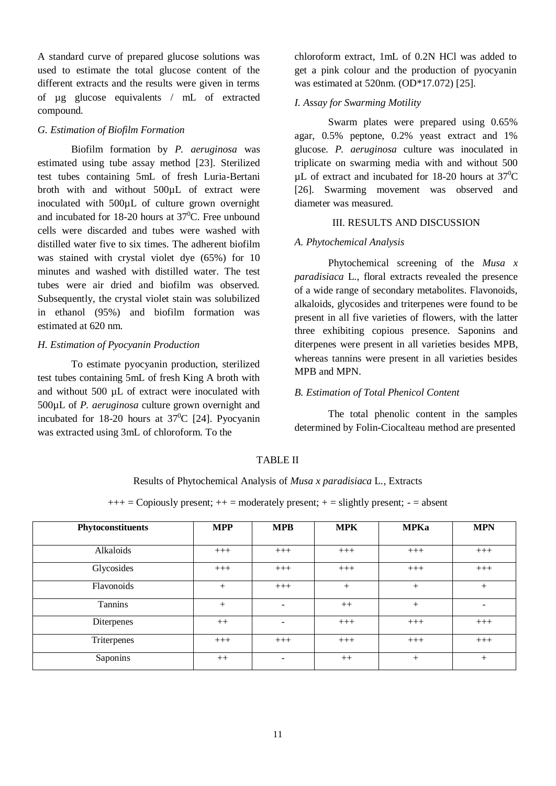A standard curve of prepared glucose solutions was used to estimate the total glucose content of the different extracts and the results were given in terms of µg glucose equivalents / mL of extracted compound.

### *G. Estimation of Biofilm Formation*

Biofilm formation by *P. aeruginosa* was estimated using tube assay method [23]. Sterilized test tubes containing 5mL of fresh Luria-Bertani broth with and without 500µL of extract were inoculated with 500µL of culture grown overnight and incubated for 18-20 hours at  $37^{\circ}$ C. Free unbound cells were discarded and tubes were washed with distilled water five to six times. The adherent biofilm was stained with crystal violet dye (65%) for 10 minutes and washed with distilled water. The test tubes were air dried and biofilm was observed. Subsequently, the crystal violet stain was solubilized in ethanol (95%) and biofilm formation was estimated at 620 nm.

### *H. Estimation of Pyocyanin Production*

To estimate pyocyanin production, sterilized test tubes containing 5mL of fresh King A broth with and without 500 µL of extract were inoculated with 500µL of *P. aeruginosa* culture grown overnight and incubated for 18-20 hours at  $37^{\circ}$ C [24]. Pyocyanin was extracted using 3mL of chloroform. To the

chloroform extract, 1mL of 0.2N HCl was added to get a pink colour and the production of pyocyanin was estimated at 520nm. (OD\*17.072) [25].

#### *I. Assay for Swarming Motility*

Swarm plates were prepared using 0.65% agar, 0.5% peptone, 0.2% yeast extract and 1% glucose. *P. aeruginosa* culture was inoculated in triplicate on swarming media with and without 500  $\mu$ L of extract and incubated for 18-20 hours at 37<sup>0</sup>C [26]. Swarming movement was observed and diameter was measured.

#### III. RESULTS AND DISCUSSION

#### *A. Phytochemical Analysis*

Phytochemical screening of the *Musa x paradisiaca* L., floral extracts revealed the presence of a wide range of secondary metabolites. Flavonoids, alkaloids, glycosides and triterpenes were found to be present in all five varieties of flowers, with the latter three exhibiting copious presence. Saponins and diterpenes were present in all varieties besides MPB, whereas tannins were present in all varieties besides MPB and MPN.

#### *B. Estimation of Total Phenicol Content*

The total phenolic content in the samples determined by Folin-Ciocalteau method are presented

## TABLE II

#### Results of Phytochemical Analysis of *Musa x paradisiaca* L*.,* Extracts

 $+++$  = Copiously present;  $++$  = moderately present;  $+$  = slightly present;  $-$  = absent

| Phytoconstituents | <b>MPP</b> | <b>MPB</b>               | <b>MPK</b> | <b>MPKa</b> | <b>MPN</b>               |
|-------------------|------------|--------------------------|------------|-------------|--------------------------|
| Alkaloids         | $+++$      | $+++$                    | $+++$      | $+++$       | $+++$                    |
| Glycosides        | $+++$      | $+++$                    | $+++$      | $+++$       | $+++$                    |
| Flavonoids        | $^{+}$     | $+++$                    | $^{+}$     | $^{+}$      | $^{+}$                   |
| Tannins           | $+$        | $\overline{\phantom{a}}$ | $++$       | $^{+}$      | $\overline{\phantom{0}}$ |
| Diterpenes        | $++$       | $\overline{\phantom{a}}$ | $+++$      | $+++$       | $+++$                    |
| Triterpenes       | $+++$      | $+++$                    | $+++$      | $+++$       | $+++$                    |
| Saponins          | $++$       | $\overline{\phantom{0}}$ | $++$       | $^{+}$      | $^{+}$                   |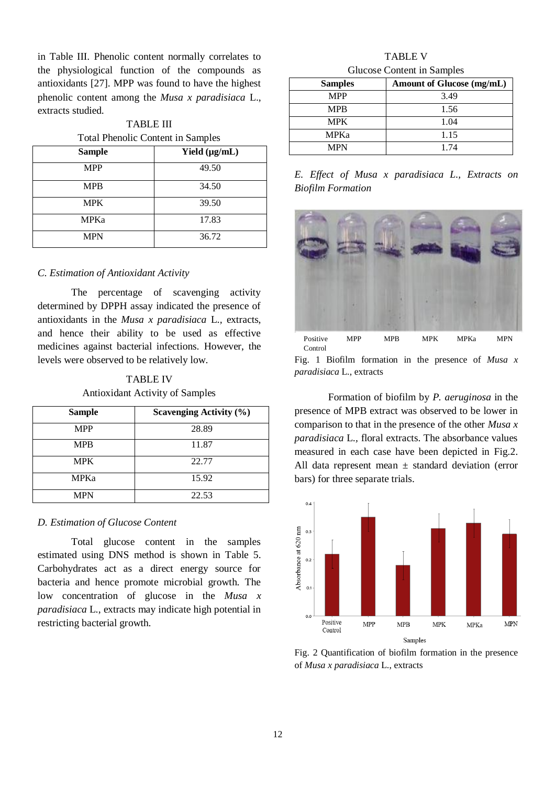in Table III. Phenolic content normally correlates to the physiological function of the compounds as antioxidants [27]. MPP was found to have the highest phenolic content among the *Musa x paradisiaca* L., extracts studied.

TABLE III Total Phenolic Content in Samples

| <b>Sample</b> | Yield $(\mu g/mL)$ |
|---------------|--------------------|
| <b>MPP</b>    | 49.50              |
| <b>MPB</b>    | 34.50              |
| <b>MPK</b>    | 39.50              |
| <b>MPKa</b>   | 17.83              |
| <b>MPN</b>    | 36.72              |

### *C. Estimation of Antioxidant Activity*

The percentage of scavenging activity determined by DPPH assay indicated the presence of antioxidants in the *Musa x paradisiaca* L*.,* extracts, and hence their ability to be used as effective medicines against bacterial infections. However, the levels were observed to be relatively low.

TABLE IV Antioxidant Activity of Samples

| <b>Sample</b> | <b>Scavenging Activity (%)</b> |
|---------------|--------------------------------|
| <b>MPP</b>    | 28.89                          |
| <b>MPB</b>    | 11.87                          |
| <b>MPK</b>    | 22.77                          |
| <b>MPKa</b>   | 15.92                          |
| <b>MPN</b>    | 22.53                          |

#### *D. Estimation of Glucose Content*

Total glucose content in the samples estimated using DNS method is shown in Table 5. Carbohydrates act as a direct energy source for bacteria and hence promote microbial growth. The low concentration of glucose in the *Musa x paradisiaca* L., extracts may indicate high potential in restricting bacterial growth.

## TABLE V Glucose Content in Samples

| <b>Samples</b> | Amount of Glucose (mg/mL) |
|----------------|---------------------------|
| <b>MPP</b>     | 3.49                      |
| <b>MPB</b>     | 1.56                      |
| <b>MPK</b>     | 1.04                      |
| MPKa           | 1.15                      |
| <b>MPN</b>     | 1.74                      |

*E. Effect of Musa x paradisiaca L., Extracts on Biofilm Formation*



Fig. 1 Biofilm formation in the presence of *Musa x paradisiaca* L., extracts

Formation of biofilm by *P. aeruginosa* in the presence of MPB extract was observed to be lower in comparison to that in the presence of the other *Musa x paradisiaca* L*.,* floral extracts. The absorbance values measured in each case have been depicted in Fig.2. All data represent mean  $\pm$  standard deviation (error bars) for three separate trials.



Fig. 2 Quantification of biofilm formation in the presence of *Musa x paradisiaca* L., extracts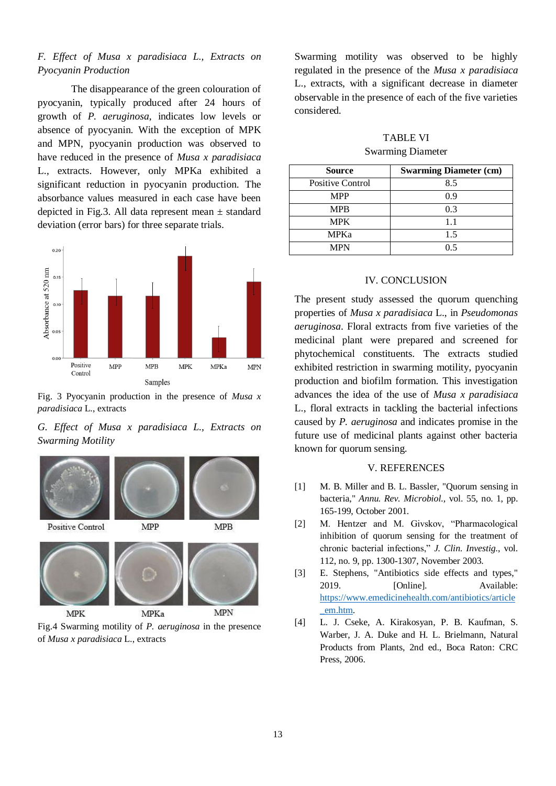# *F. Effect of Musa x paradisiaca L., Extracts on Pyocyanin Production*

The disappearance of the green colouration of pyocyanin, typically produced after 24 hours of growth of *P. aeruginosa*, indicates low levels or absence of pyocyanin. With the exception of MPK and MPN, pyocyanin production was observed to have reduced in the presence of *Musa x paradisiaca* L., extracts. However, only MPKa exhibited a significant reduction in pyocyanin production. The absorbance values measured in each case have been depicted in Fig.3. All data represent mean  $\pm$  standard deviation (error bars) for three separate trials.



Fig. 3 Pyocyanin production in the presence of *Musa x paradisiaca* L., extracts

*G. Effect of Musa x paradisiaca L., Extracts on Swarming Motility*



**MPK** 

Fig.4 Swarming motility of *P. aeruginosa* in the presence of *Musa x paradisiaca* L., extracts

Swarming motility was observed to be highly regulated in the presence of the *Musa x paradisiaca* L., extracts, with a significant decrease in diameter observable in the presence of each of the five varieties considered.

# TABLE VI Swarming Diameter

| <b>Source</b>           | <b>Swarming Diameter (cm)</b> |
|-------------------------|-------------------------------|
| <b>Positive Control</b> | 8.5                           |
| <b>MPP</b>              | 0.9                           |
| <b>MPB</b>              | 0.3                           |
| <b>MPK</b>              | 1.1                           |
| <b>MPKa</b>             | 1.5                           |
| MPN                     | ר ו                           |

## IV. CONCLUSION

The present study assessed the quorum quenching properties of *Musa x paradisiaca* L., in *Pseudomonas aeruginosa*. Floral extracts from five varieties of the medicinal plant were prepared and screened for phytochemical constituents. The extracts studied exhibited restriction in swarming motility, pyocyanin production and biofilm formation. This investigation advances the idea of the use of *Musa x paradisiaca* L., floral extracts in tackling the bacterial infections caused by *P. aeruginosa* and indicates promise in the future use of medicinal plants against other bacteria known for quorum sensing.

#### V. REFERENCES

- [1] M. B. Miller and B. L. Bassler, "Quorum sensing in bacteria," *Annu. Rev. Microbiol.,* vol. 55, no. 1, pp. 165-199, October 2001.
- [2] M. Hentzer and M. Givskov, "Pharmacological inhibition of quorum sensing for the treatment of chronic bacterial infections," *J. Clin. Investig.*, vol. 112, no. 9, pp. 1300-1307, November 2003.
- [3] E. Stephens, "Antibiotics side effects and types," 2019. [Online]. Available: [https://www.emedicinehealth.com/antibiotics/article](https://www.emedicinehealth.com/antibiotics/article_em.htm) [\\_em.htm.](https://www.emedicinehealth.com/antibiotics/article_em.htm)
- [4] L. J. Cseke, A. Kirakosyan, P. B. Kaufman, S. Warber, J. A. Duke and H. L. Brielmann, Natural Products from Plants, 2nd ed., Boca Raton: CRC Press, 2006.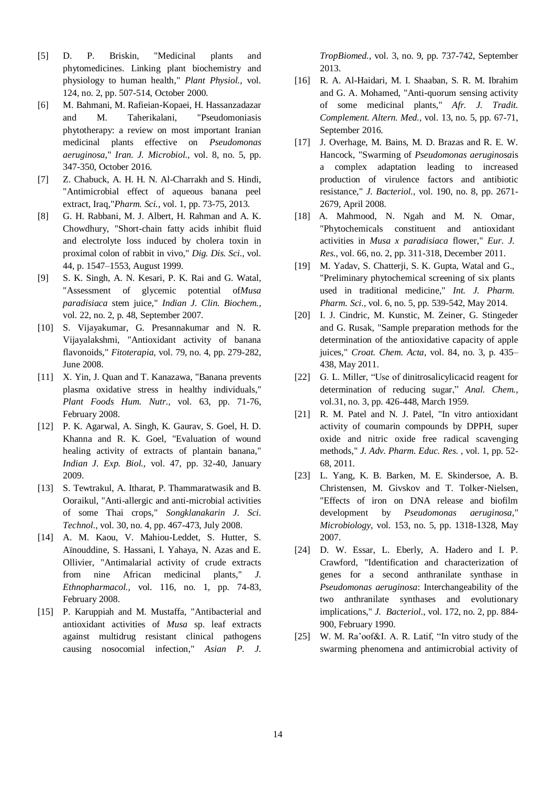- [5] D. P. Briskin, "Medicinal plants and phytomedicines. Linking plant biochemistry and physiology to human health," *Plant Physiol.,* vol. 124, no. 2, pp. 507-514, October 2000.
- [6] M. Bahmani, M. Rafieian-Kopaei, H. Hassanzadazar and M. Taherikalani, "Pseudomoniasis phytotherapy: a review on most important Iranian medicinal plants effective on *Pseudomonas aeruginosa*," *Iran. J. Microbiol.,* vol. 8, no. 5, pp. 347-350, October 2016.
- [7] Z. Chabuck, A. H. H. N. Al-Charrakh and S. Hindi, "Antimicrobial effect of aqueous banana peel extract, Iraq,"*Pharm. Sci.,* vol. 1, pp. 73-75, 2013.
- [8] G. H. Rabbani, M. J. Albert, H. Rahman and A. K. Chowdhury, "Short-chain fatty acids inhibit fluid and electrolyte loss induced by cholera toxin in proximal colon of rabbit in vivo," *Dig. Dis. Sci.,* vol. 44, p. 1547–1553, August 1999.
- [9] S. K. Singh, A. N. Kesari, P. K. Rai and G. Watal, "Assessment of glycemic potential of*Musa paradisiaca* stem juice," *Indian J. Clin. Biochem.,*  vol. 22, no. 2, p. 48, September 2007.
- [10] S. Vijayakumar, G. Presannakumar and N. R. Vijayalakshmi, "Antioxidant activity of banana flavonoids," *Fitoterapia,* vol. 79, no. 4, pp. 279-282, June 2008.
- [11] X. Yin, J. Quan and T. Kanazawa, "Banana prevents" plasma oxidative stress in healthy individuals," *Plant Foods Hum. Nutr.,* vol. 63, pp. 71-76, February 2008.
- [12] P. K. Agarwal, A. Singh, K. Gaurav, S. Goel, H. D. Khanna and R. K. Goel, "Evaluation of wound healing activity of extracts of plantain banana," *Indian J. Exp. Biol.,* vol. 47, pp. 32-40, January 2009.
- [13] S. Tewtrakul, A. Itharat, P. Thammaratwasik and B. Ooraikul, "Anti-allergic and anti-microbial activities of some Thai crops," *Songklanakarin J. Sci. Technol.,* vol. 30, no. 4, pp. 467-473, July 2008.
- [14] A. M. Kaou, V. Mahiou-Leddet, S. Hutter, S. Aïnouddine, S. Hassani, I. Yahaya, N. Azas and E. Ollivier, "Antimalarial activity of crude extracts from nine African medicinal plants," *J. Ethnopharmacol.,* vol. 116, no. 1, pp. 74-83, February 2008.
- [15] P. Karuppiah and M. Mustaffa, "Antibacterial and antioxidant activities of *Musa* sp. leaf extracts against multidrug resistant clinical pathogens causing nosocomial infection," *Asian P. J.*

*TropBiomed.,* vol. 3, no. 9, pp. 737-742, September 2013.

- [16] R. A. Al-Haidari, M. I. Shaaban, S. R. M. Ibrahim and G. A. Mohamed, "Anti-quorum sensing activity of some medicinal plants," *Afr. J. Tradit. Complement. Altern. Med.,* vol. 13, no. 5, pp. 67-71, September 2016.
- [17] J. Overhage, M. Bains, M. D. Brazas and R. E. W. Hancock, "Swarming of *Pseudomonas aeruginosa*is a complex adaptation leading to increased production of virulence factors and antibiotic resistance," *J. Bacteriol.,* vol. 190, no. 8, pp. 2671- 2679, April 2008.
- [18] A. Mahmood, N. Ngah and M. N. Omar, "Phytochemicals constituent and antioxidant activities in *Musa x paradisiaca* flower," *Eur. J. Res.,* vol. 66, no. 2, pp. 311-318, December 2011.
- [19] M. Yadav, S. Chatterji, S. K. Gupta, Watal and G., "Preliminary phytochemical screening of six plants used in traditional medicine," *Int. J. Pharm. Pharm. Sci.,* vol. 6, no. 5, pp. 539-542, May 2014.
- [20] I. J. Cindric, M. Kunstic, M. Zeiner, G. Stingeder and G. Rusak, "Sample preparation methods for the determination of the antioxidative capacity of apple juices," *Croat. Chem. Acta,* vol. 84, no. 3, p. 435– 438, May 2011.
- [22] G. L. Miller, "Use of dinitrosalicylicacid reagent for determination of reducing sugar," *Anal. Chem.*, vol.31, no. 3, pp. 426-448, March 1959.
- [21] R. M. Patel and N. J. Patel, "In vitro antioxidant activity of coumarin compounds by DPPH, super oxide and nitric oxide free radical scavenging methods," *J. Adv. Pharm. Educ. Res. ,* vol. 1, pp. 52- 68, 2011.
- [23] L. Yang, K. B. Barken, M. E. Skindersoe, A. B. Christensen, M. Givskov and T. Tolker-Nielsen, "Effects of iron on DNA release and biofilm development by *Pseudomonas aeruginosa*," *Microbiology,* vol. 153, no. 5, pp. 1318-1328, May 2007.
- [24] D. W. Essar, L. Eberly, A. Hadero and I. P. Crawford, "Identification and characterization of genes for a second anthranilate synthase in *Pseudomonas aeruginosa*: Interchangeability of the two anthranilate synthases and evolutionary implications," *J. Bacteriol.,* vol. 172, no. 2, pp. 884- 900, February 1990.
- [25] W. M. Ra'oof&I. A. R. Latif, "In vitro study of the swarming phenomena and antimicrobial activity of